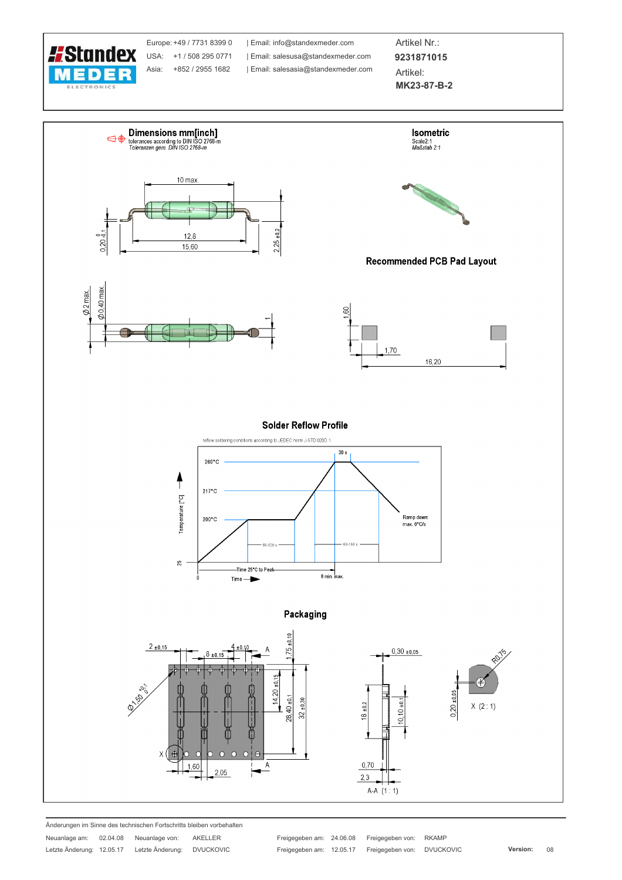

Europe: +49 / 7731 8399 0 USA: +1 / 508 295 0771 Asia: +852 / 2955 1682

| Email: info@standexmeder.com Email: salesusa@standexmeder.com | Email: salesasia@standexmeder.com

Artikel Nr.: 9231871015 Artikel: MK23-87-B-2



Änderungen im Sinne des technischen Fortschritts bleiben vorbehalten